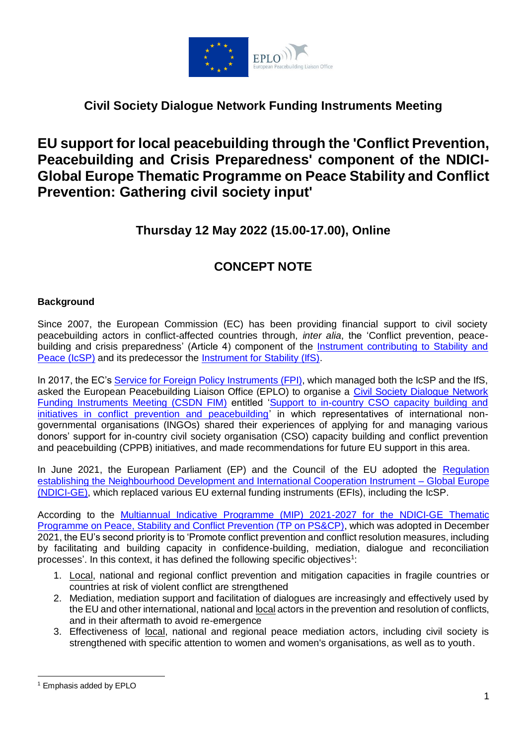

## **Civil Society Dialogue Network Funding Instruments Meeting**

## **EU support for local peacebuilding through the 'Conflict Prevention, Peacebuilding and Crisis Preparedness' component of the NDICI-Global Europe Thematic Programme on Peace Stability and Conflict Prevention: Gathering civil society input'**

## **Thursday 12 May 2022 (15.00-17.00), Online**

## **CONCEPT NOTE**

### **Background**

Since 2007, the European Commission (EC) has been providing financial support to civil society peacebuilding actors in conflict-affected countries through, *inter alia*, the 'Conflict prevention, peacebuilding and crisis preparedness' (Article 4) component of the [Instrument contributing to Stability and](https://eur-lex.europa.eu/legal-content/EN/TXT/PDF/?uri=CELEX:32014R0230&from=EN)  [Peace \(IcSP\)](https://eur-lex.europa.eu/legal-content/EN/TXT/PDF/?uri=CELEX:32014R0230&from=EN) and its predecessor the [Instrument for Stability \(IfS\).](https://eur-lex.europa.eu/legal-content/EN/TXT/PDF/?uri=CELEX:32006R1717&from=EN)

In 2017, the EC's [Service for Foreign Policy Instruments \(FPI\),](https://ec.europa.eu/fpi/what-we-do/conflict-prevention-peace-and-stability_en) which managed both the IcSP and the IfS, asked the European Peacebuilding Liaison Office (EPLO) to organise a [Civil Society Dialogue Network](https://eplo.org/activities/ongoing-projects/civil-society-dialogue-network/funding-instruments-meetings/) [Funding Instruments Meeting \(CSDN FIM\)](https://eplo.org/activities/ongoing-projects/civil-society-dialogue-network/funding-instruments-meetings/) entitled ['Support to in-country CSO capacity building and](https://eplo.org/wp-content/uploads/2017/10/CSDN-FIM_Support-to-In-country-CSOs_Minutes.pdf)  [initiatives in conflict prevention and peacebuilding'](https://eplo.org/wp-content/uploads/2017/10/CSDN-FIM_Support-to-In-country-CSOs_Minutes.pdf) in which representatives of international nongovernmental organisations (INGOs) shared their experiences of applying for and managing various donors' support for in-country civil society organisation (CSO) capacity building and conflict prevention and peacebuilding (CPPB) initiatives, and made recommendations for future EU support in this area.

In June 2021, the European Parliament (EP) and the Council of the EU adopted the [Regulation](https://eur-lex.europa.eu/legal-content/EN/TXT/PDF/?uri=CELEX:32021R0947&from=EN)  [establishing the Neighbourhood Development and International Cooperation Instrument –](https://eur-lex.europa.eu/legal-content/EN/TXT/PDF/?uri=CELEX:32021R0947&from=EN) Global Europe [\(NDICI-GE\),](https://eur-lex.europa.eu/legal-content/EN/TXT/PDF/?uri=CELEX:32021R0947&from=EN) which replaced various EU external funding instruments (EFIs), including the IcSP.

According to the [Multiannual Indicative Programme \(MIP\) 2021-2027 for the NDICI-GE Thematic](https://ec.europa.eu/international-partnerships/system/files/mip-2021-c2021-8985-peace-stability-conflict-prevention-annex_en.pdf)  Programme on Peace, [Stability and Conflict Prevention \(TP on PS&CP\),](https://ec.europa.eu/international-partnerships/system/files/mip-2021-c2021-8985-peace-stability-conflict-prevention-annex_en.pdf) which was adopted in December 2021, the EU's second priority is to 'Promote conflict prevention and conflict resolution measures, including by facilitating and building capacity in confidence-building, mediation, dialogue and reconciliation processes'. In this context, it has defined the following specific objectives<sup>1</sup>:

- 1. Local, national and regional conflict prevention and mitigation capacities in fragile countries or countries at risk of violent conflict are strengthened
- 2. Mediation, mediation support and facilitation of dialogues are increasingly and effectively used by the EU and other international, national and local actors in the prevention and resolution of conflicts, and in their aftermath to avoid re-emergence
- 3. Effectiveness of local, national and regional peace mediation actors, including civil society is strengthened with specific attention to women and women's organisations, as well as to youth.

 $\overline{\phantom{a}}$ 

<sup>1</sup> Emphasis added by EPLO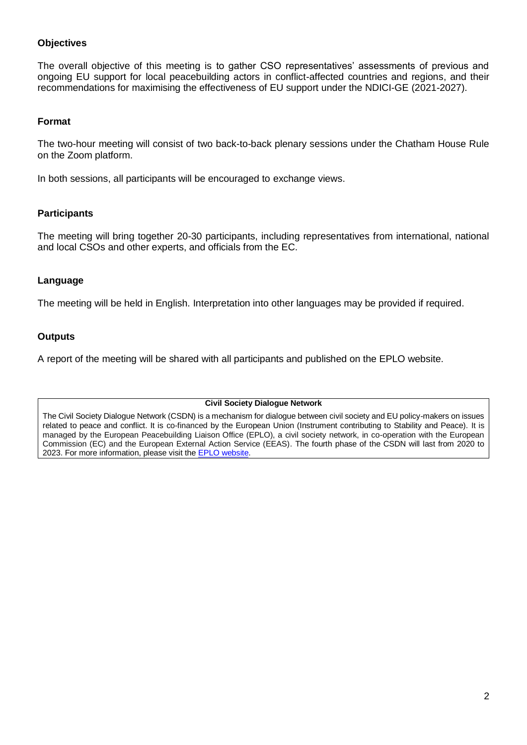### **Objectives**

The overall objective of this meeting is to gather CSO representatives' assessments of previous and ongoing EU support for local peacebuilding actors in conflict-affected countries and regions, and their recommendations for maximising the effectiveness of EU support under the NDICI-GE (2021-2027).

#### **Format**

The two-hour meeting will consist of two back-to-back plenary sessions under the Chatham House Rule on the Zoom platform.

In both sessions, all participants will be encouraged to exchange views.

#### **Participants**

The meeting will bring together 20-30 participants, including representatives from international, national and local CSOs and other experts, and officials from the EC.

#### **Language**

The meeting will be held in English. Interpretation into other languages may be provided if required.

#### **Outputs**

A report of the meeting will be shared with all participants and published on the EPLO website.

**Civil Society Dialogue Network**

The Civil Society Dialogue Network (CSDN) is a mechanism for dialogue between civil society and EU policy-makers on issues related to peace and conflict. It is co-financed by the European Union (Instrument contributing to Stability and Peace). It is managed by the European Peacebuilding Liaison Office (EPLO), a civil society network, in co-operation with the European Commission (EC) and the European External Action Service (EEAS). The fourth phase of the CSDN will last from 2020 to 2023. For more information, please visit the [EPLO website.](http://eplo.org/activities/ongoing-projects/civil-society-dialogue-network/)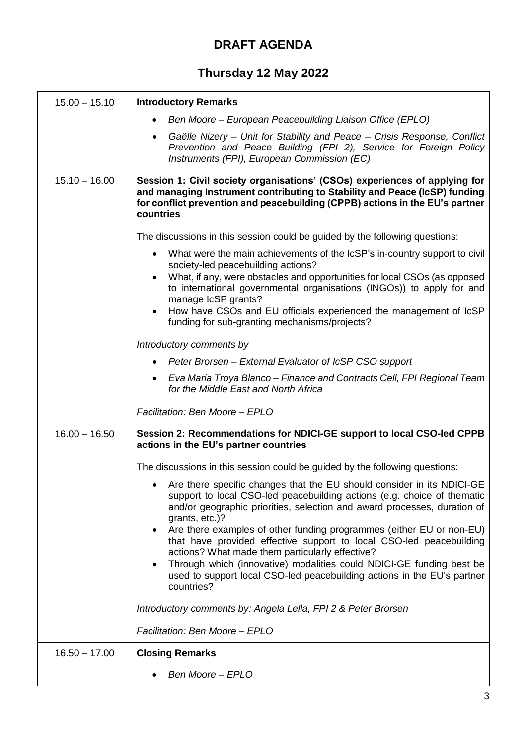# **DRAFT AGENDA**

# **Thursday 12 May 2022**

| $15.00 - 15.10$ | <b>Introductory Remarks</b>                                                                                                                                                                                                                                                                                                                                                                                                                  |
|-----------------|----------------------------------------------------------------------------------------------------------------------------------------------------------------------------------------------------------------------------------------------------------------------------------------------------------------------------------------------------------------------------------------------------------------------------------------------|
|                 | Ben Moore – European Peacebuilding Liaison Office (EPLO)                                                                                                                                                                                                                                                                                                                                                                                     |
|                 | Gaëlle Nizery - Unit for Stability and Peace - Crisis Response, Conflict<br>$\bullet$<br>Prevention and Peace Building (FPI 2), Service for Foreign Policy<br>Instruments (FPI), European Commission (EC)                                                                                                                                                                                                                                    |
| $15.10 - 16.00$ | Session 1: Civil society organisations' (CSOs) experiences of applying for<br>and managing Instrument contributing to Stability and Peace (IcSP) funding<br>for conflict prevention and peacebuilding (CPPB) actions in the EU's partner<br>countries                                                                                                                                                                                        |
|                 | The discussions in this session could be guided by the following questions:                                                                                                                                                                                                                                                                                                                                                                  |
|                 | What were the main achievements of the IcSP's in-country support to civil<br>$\bullet$<br>society-led peacebuilding actions?<br>What, if any, were obstacles and opportunities for local CSOs (as opposed<br>to international governmental organisations (INGOs)) to apply for and<br>manage IcSP grants?<br>How have CSOs and EU officials experienced the management of IcSP<br>$\bullet$<br>funding for sub-granting mechanisms/projects? |
|                 | Introductory comments by                                                                                                                                                                                                                                                                                                                                                                                                                     |
|                 | • Peter Brorsen – External Evaluator of IcSP CSO support                                                                                                                                                                                                                                                                                                                                                                                     |
|                 | Eva Maria Troya Blanco - Finance and Contracts Cell, FPI Regional Team<br>for the Middle East and North Africa                                                                                                                                                                                                                                                                                                                               |
|                 | Facilitation: Ben Moore - EPLO                                                                                                                                                                                                                                                                                                                                                                                                               |
| $16.00 - 16.50$ | Session 2: Recommendations for NDICI-GE support to local CSO-led CPPB<br>actions in the EU's partner countries                                                                                                                                                                                                                                                                                                                               |
|                 | The discussions in this session could be guided by the following questions:                                                                                                                                                                                                                                                                                                                                                                  |
|                 | Are there specific changes that the EU should consider in its NDICI-GE<br>support to local CSO-led peacebuilding actions (e.g. choice of thematic<br>and/or geographic priorities, selection and award processes, duration of<br>grants, etc.)?<br>Are there examples of other funding programmes (either EU or non-EU)<br>$\bullet$<br>that have provided effective support to local CSO-led peacebuilding                                  |
|                 | actions? What made them particularly effective?<br>Through which (innovative) modalities could NDICI-GE funding best be<br>$\bullet$<br>used to support local CSO-led peacebuilding actions in the EU's partner<br>countries?                                                                                                                                                                                                                |
|                 | Introductory comments by: Angela Lella, FPI 2 & Peter Brorsen                                                                                                                                                                                                                                                                                                                                                                                |
|                 | Facilitation: Ben Moore - EPLO                                                                                                                                                                                                                                                                                                                                                                                                               |
| $16.50 - 17.00$ | <b>Closing Remarks</b>                                                                                                                                                                                                                                                                                                                                                                                                                       |
|                 | Ben Moore - EPLO                                                                                                                                                                                                                                                                                                                                                                                                                             |